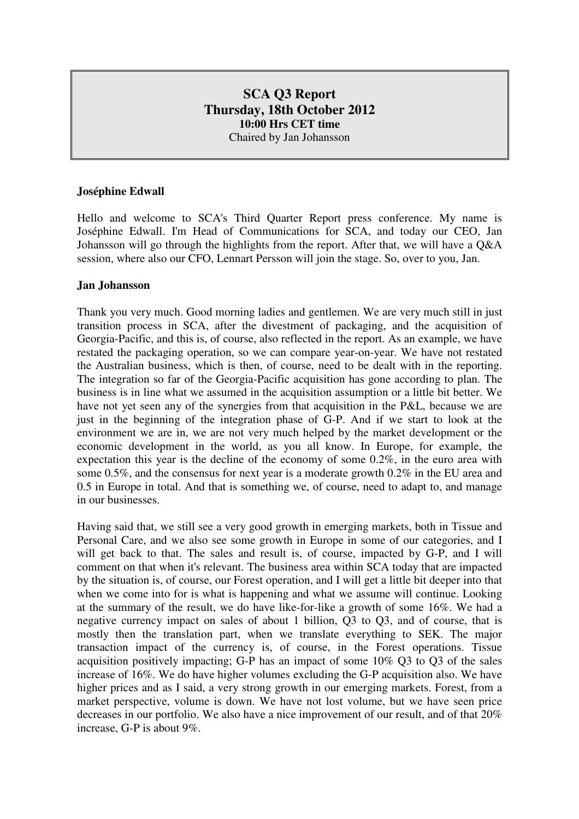# **SCA Q3 Report Thursday, 18th October 2012 10:00 Hrs CET time**  Chaired by Jan Johansson

### **Joséphine Edwall**

Hello and welcome to SCA's Third Quarter Report press conference. My name is Joséphine Edwall. I'm Head of Communications for SCA, and today our CEO, Jan Johansson will go through the highlights from the report. After that, we will have a Q&A session, where also our CFO, Lennart Persson will join the stage. So, over to you, Jan.

#### **Jan Johansson**

Thank you very much. Good morning ladies and gentlemen. We are very much still in just transition process in SCA, after the divestment of packaging, and the acquisition of Georgia-Pacific, and this is, of course, also reflected in the report. As an example, we have restated the packaging operation, so we can compare year-on-year. We have not restated the Australian business, which is then, of course, need to be dealt with in the reporting. The integration so far of the Georgia-Pacific acquisition has gone according to plan. The business is in line what we assumed in the acquisition assumption or a little bit better. We have not yet seen any of the synergies from that acquisition in the P&L, because we are just in the beginning of the integration phase of G-P. And if we start to look at the environment we are in, we are not very much helped by the market development or the economic development in the world, as you all know. In Europe, for example, the expectation this year is the decline of the economy of some 0.2%, in the euro area with some 0.5%, and the consensus for next year is a moderate growth 0.2% in the EU area and 0.5 in Europe in total. And that is something we, of course, need to adapt to, and manage in our businesses.

Having said that, we still see a very good growth in emerging markets, both in Tissue and Personal Care, and we also see some growth in Europe in some of our categories, and I will get back to that. The sales and result is, of course, impacted by G-P, and I will comment on that when it's relevant. The business area within SCA today that are impacted by the situation is, of course, our Forest operation, and I will get a little bit deeper into that when we come into for is what is happening and what we assume will continue. Looking at the summary of the result, we do have like-for-like a growth of some 16%. We had a negative currency impact on sales of about 1 billion, Q3 to Q3, and of course, that is mostly then the translation part, when we translate everything to SEK. The major transaction impact of the currency is, of course, in the Forest operations. Tissue acquisition positively impacting; G-P has an impact of some 10% Q3 to Q3 of the sales increase of 16%. We do have higher volumes excluding the G-P acquisition also. We have higher prices and as I said, a very strong growth in our emerging markets. Forest, from a market perspective, volume is down. We have not lost volume, but we have seen price decreases in our portfolio. We also have a nice improvement of our result, and of that 20% increase, G-P is about 9%.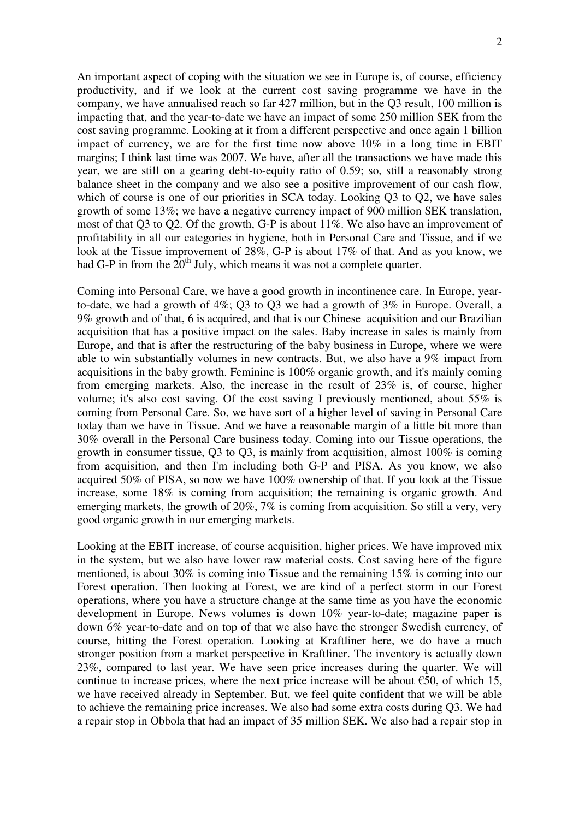An important aspect of coping with the situation we see in Europe is, of course, efficiency productivity, and if we look at the current cost saving programme we have in the company, we have annualised reach so far 427 million, but in the Q3 result, 100 million is impacting that, and the year-to-date we have an impact of some 250 million SEK from the cost saving programme. Looking at it from a different perspective and once again 1 billion impact of currency, we are for the first time now above 10% in a long time in EBIT margins; I think last time was 2007. We have, after all the transactions we have made this year, we are still on a gearing debt-to-equity ratio of 0.59; so, still a reasonably strong balance sheet in the company and we also see a positive improvement of our cash flow, which of course is one of our priorities in SCA today. Looking Q3 to Q2, we have sales growth of some 13%; we have a negative currency impact of 900 million SEK translation, most of that Q3 to Q2. Of the growth, G-P is about 11%. We also have an improvement of profitability in all our categories in hygiene, both in Personal Care and Tissue, and if we look at the Tissue improvement of 28%, G-P is about 17% of that. And as you know, we had G-P in from the  $20^{th}$  July, which means it was not a complete quarter.

Coming into Personal Care, we have a good growth in incontinence care. In Europe, yearto-date, we had a growth of 4%; Q3 to Q3 we had a growth of 3% in Europe. Overall, a 9% growth and of that, 6 is acquired, and that is our Chinese acquisition and our Brazilian acquisition that has a positive impact on the sales. Baby increase in sales is mainly from Europe, and that is after the restructuring of the baby business in Europe, where we were able to win substantially volumes in new contracts. But, we also have a 9% impact from acquisitions in the baby growth. Feminine is 100% organic growth, and it's mainly coming from emerging markets. Also, the increase in the result of 23% is, of course, higher volume; it's also cost saving. Of the cost saving I previously mentioned, about 55% is coming from Personal Care. So, we have sort of a higher level of saving in Personal Care today than we have in Tissue. And we have a reasonable margin of a little bit more than 30% overall in the Personal Care business today. Coming into our Tissue operations, the growth in consumer tissue, Q3 to Q3, is mainly from acquisition, almost 100% is coming from acquisition, and then I'm including both G-P and PISA. As you know, we also acquired 50% of PISA, so now we have 100% ownership of that. If you look at the Tissue increase, some 18% is coming from acquisition; the remaining is organic growth. And emerging markets, the growth of 20%, 7% is coming from acquisition. So still a very, very good organic growth in our emerging markets.

Looking at the EBIT increase, of course acquisition, higher prices. We have improved mix in the system, but we also have lower raw material costs. Cost saving here of the figure mentioned, is about 30% is coming into Tissue and the remaining 15% is coming into our Forest operation. Then looking at Forest, we are kind of a perfect storm in our Forest operations, where you have a structure change at the same time as you have the economic development in Europe. News volumes is down 10% year-to-date; magazine paper is down 6% year-to-date and on top of that we also have the stronger Swedish currency, of course, hitting the Forest operation. Looking at Kraftliner here, we do have a much stronger position from a market perspective in Kraftliner. The inventory is actually down 23%, compared to last year. We have seen price increases during the quarter. We will continue to increase prices, where the next price increase will be about  $\epsilon$ 50, of which 15, we have received already in September. But, we feel quite confident that we will be able to achieve the remaining price increases. We also had some extra costs during Q3. We had a repair stop in Obbola that had an impact of 35 million SEK. We also had a repair stop in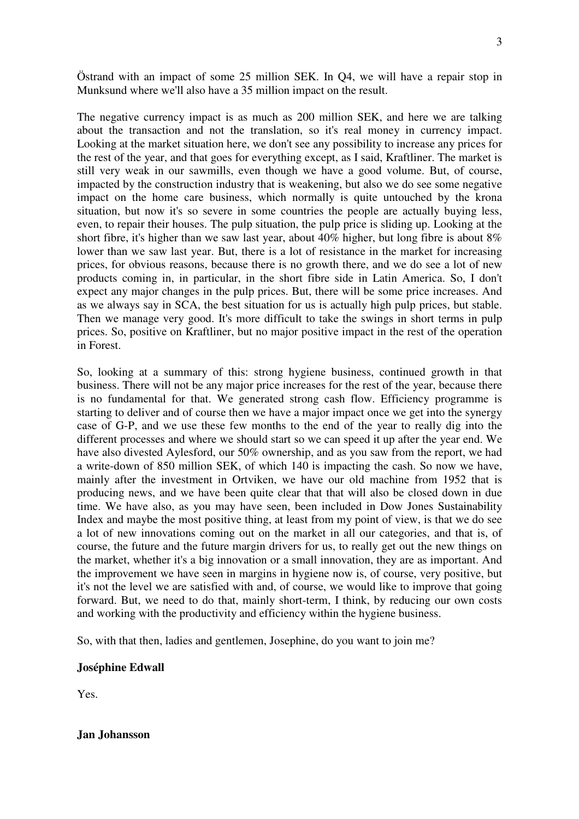Östrand with an impact of some 25 million SEK. In Q4, we will have a repair stop in Munksund where we'll also have a 35 million impact on the result.

The negative currency impact is as much as 200 million SEK, and here we are talking about the transaction and not the translation, so it's real money in currency impact. Looking at the market situation here, we don't see any possibility to increase any prices for the rest of the year, and that goes for everything except, as I said, Kraftliner. The market is still very weak in our sawmills, even though we have a good volume. But, of course, impacted by the construction industry that is weakening, but also we do see some negative impact on the home care business, which normally is quite untouched by the krona situation, but now it's so severe in some countries the people are actually buying less, even, to repair their houses. The pulp situation, the pulp price is sliding up. Looking at the short fibre, it's higher than we saw last year, about 40% higher, but long fibre is about 8% lower than we saw last year. But, there is a lot of resistance in the market for increasing prices, for obvious reasons, because there is no growth there, and we do see a lot of new products coming in, in particular, in the short fibre side in Latin America. So, I don't expect any major changes in the pulp prices. But, there will be some price increases. And as we always say in SCA, the best situation for us is actually high pulp prices, but stable. Then we manage very good. It's more difficult to take the swings in short terms in pulp prices. So, positive on Kraftliner, but no major positive impact in the rest of the operation in Forest.

So, looking at a summary of this: strong hygiene business, continued growth in that business. There will not be any major price increases for the rest of the year, because there is no fundamental for that. We generated strong cash flow. Efficiency programme is starting to deliver and of course then we have a major impact once we get into the synergy case of G-P, and we use these few months to the end of the year to really dig into the different processes and where we should start so we can speed it up after the year end. We have also divested Aylesford, our 50% ownership, and as you saw from the report, we had a write-down of 850 million SEK, of which 140 is impacting the cash. So now we have, mainly after the investment in Ortviken, we have our old machine from 1952 that is producing news, and we have been quite clear that that will also be closed down in due time. We have also, as you may have seen, been included in Dow Jones Sustainability Index and maybe the most positive thing, at least from my point of view, is that we do see a lot of new innovations coming out on the market in all our categories, and that is, of course, the future and the future margin drivers for us, to really get out the new things on the market, whether it's a big innovation or a small innovation, they are as important. And the improvement we have seen in margins in hygiene now is, of course, very positive, but it's not the level we are satisfied with and, of course, we would like to improve that going forward. But, we need to do that, mainly short-term, I think, by reducing our own costs and working with the productivity and efficiency within the hygiene business.

So, with that then, ladies and gentlemen, Josephine, do you want to join me?

#### **Joséphine Edwall**

Yes.

**Jan Johansson**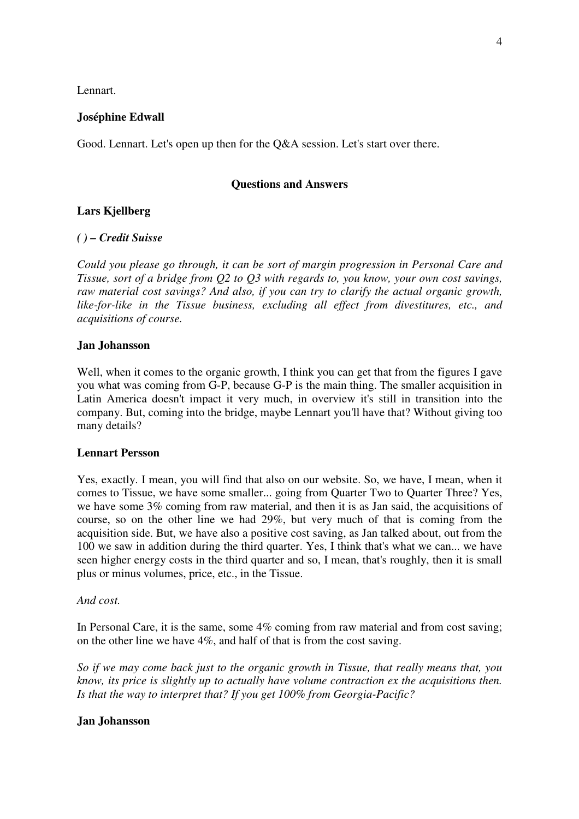Lennart.

### **Joséphine Edwall**

Good. Lennart. Let's open up then for the Q&A session. Let's start over there.

### **Questions and Answers**

# **Lars Kjellberg**

# *( ) – Credit Suisse*

*Could you please go through, it can be sort of margin progression in Personal Care and Tissue, sort of a bridge from Q2 to Q3 with regards to, you know, your own cost savings, raw material cost savings? And also, if you can try to clarify the actual organic growth, like-for-like in the Tissue business, excluding all effect from divestitures, etc., and acquisitions of course.* 

#### **Jan Johansson**

Well, when it comes to the organic growth, I think you can get that from the figures I gave you what was coming from G-P, because G-P is the main thing. The smaller acquisition in Latin America doesn't impact it very much, in overview it's still in transition into the company. But, coming into the bridge, maybe Lennart you'll have that? Without giving too many details?

#### **Lennart Persson**

Yes, exactly. I mean, you will find that also on our website. So, we have, I mean, when it comes to Tissue, we have some smaller... going from Quarter Two to Quarter Three? Yes, we have some 3% coming from raw material, and then it is as Jan said, the acquisitions of course, so on the other line we had 29%, but very much of that is coming from the acquisition side. But, we have also a positive cost saving, as Jan talked about, out from the 100 we saw in addition during the third quarter. Yes, I think that's what we can... we have seen higher energy costs in the third quarter and so, I mean, that's roughly, then it is small plus or minus volumes, price, etc., in the Tissue.

#### *And cost.*

In Personal Care, it is the same, some 4% coming from raw material and from cost saving; on the other line we have 4%, and half of that is from the cost saving.

*So if we may come back just to the organic growth in Tissue, that really means that, you know, its price is slightly up to actually have volume contraction ex the acquisitions then. Is that the way to interpret that? If you get 100% from Georgia-Pacific?* 

# **Jan Johansson**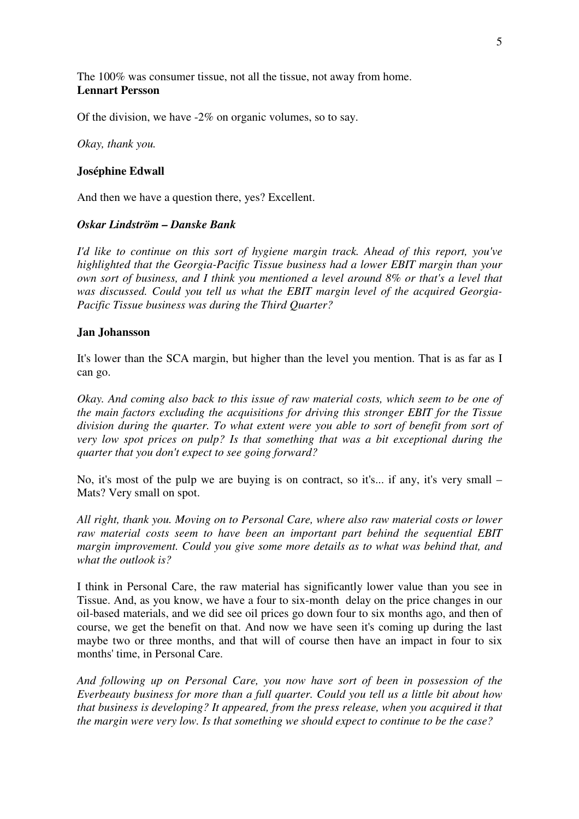The 100% was consumer tissue, not all the tissue, not away from home. **Lennart Persson** 

Of the division, we have -2% on organic volumes, so to say.

*Okay, thank you.* 

#### **Joséphine Edwall**

And then we have a question there, yes? Excellent.

#### *Oskar Lindström – Danske Bank*

*I'd like to continue on this sort of hygiene margin track. Ahead of this report, you've highlighted that the Georgia-Pacific Tissue business had a lower EBIT margin than your own sort of business, and I think you mentioned a level around 8% or that's a level that was discussed. Could you tell us what the EBIT margin level of the acquired Georgia-Pacific Tissue business was during the Third Quarter?* 

#### **Jan Johansson**

It's lower than the SCA margin, but higher than the level you mention. That is as far as I can go.

*Okay. And coming also back to this issue of raw material costs, which seem to be one of the main factors excluding the acquisitions for driving this stronger EBIT for the Tissue division during the quarter. To what extent were you able to sort of benefit from sort of very low spot prices on pulp? Is that something that was a bit exceptional during the quarter that you don't expect to see going forward?*

No, it's most of the pulp we are buying is on contract, so it's... if any, it's very small – Mats? Very small on spot.

*All right, thank you. Moving on to Personal Care, where also raw material costs or lower raw material costs seem to have been an important part behind the sequential EBIT margin improvement. Could you give some more details as to what was behind that, and what the outlook is?* 

I think in Personal Care, the raw material has significantly lower value than you see in Tissue. And, as you know, we have a four to six-month delay on the price changes in our oil-based materials, and we did see oil prices go down four to six months ago, and then of course, we get the benefit on that. And now we have seen it's coming up during the last maybe two or three months, and that will of course then have an impact in four to six months' time, in Personal Care.

*And following up on Personal Care, you now have sort of been in possession of the Everbeauty business for more than a full quarter. Could you tell us a little bit about how that business is developing? It appeared, from the press release, when you acquired it that the margin were very low. Is that something we should expect to continue to be the case?*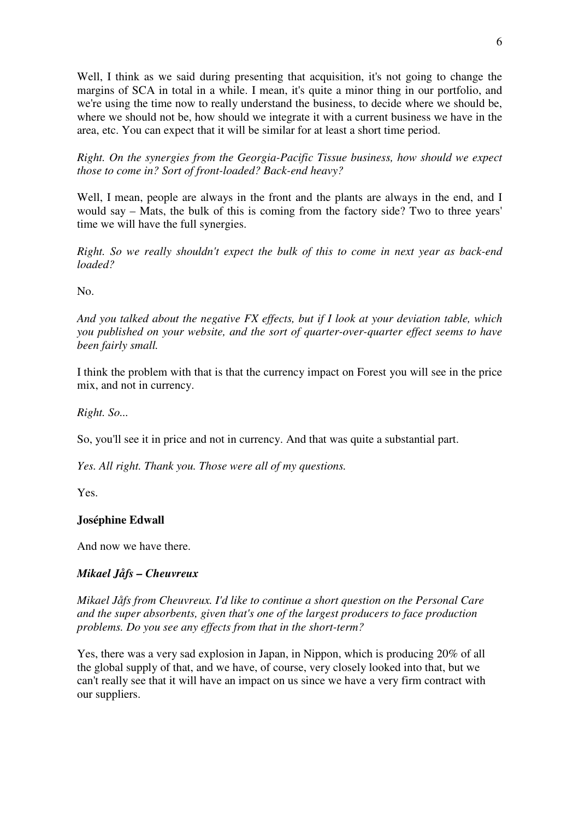Well, I think as we said during presenting that acquisition, it's not going to change the margins of SCA in total in a while. I mean, it's quite a minor thing in our portfolio, and we're using the time now to really understand the business, to decide where we should be, where we should not be, how should we integrate it with a current business we have in the area, etc. You can expect that it will be similar for at least a short time period.

*Right. On the synergies from the Georgia-Pacific Tissue business, how should we expect those to come in? Sort of front-loaded? Back-end heavy?* 

Well, I mean, people are always in the front and the plants are always in the end, and I would say – Mats, the bulk of this is coming from the factory side? Two to three years' time we will have the full synergies.

*Right. So we really shouldn't expect the bulk of this to come in next year as back-end loaded?* 

No.

*And you talked about the negative FX effects, but if I look at your deviation table, which you published on your website, and the sort of quarter-over-quarter effect seems to have been fairly small.* 

I think the problem with that is that the currency impact on Forest you will see in the price mix, and not in currency.

*Right. So...* 

So, you'll see it in price and not in currency. And that was quite a substantial part.

*Yes. All right. Thank you. Those were all of my questions.* 

Yes.

# **Joséphine Edwall**

And now we have there.

# *Mikael Jåfs – Cheuvreux*

*Mikael Jåfs from Cheuvreux. I'd like to continue a short question on the Personal Care and the super absorbents, given that's one of the largest producers to face production problems. Do you see any effects from that in the short-term?* 

Yes, there was a very sad explosion in Japan, in Nippon, which is producing 20% of all the global supply of that, and we have, of course, very closely looked into that, but we can't really see that it will have an impact on us since we have a very firm contract with our suppliers.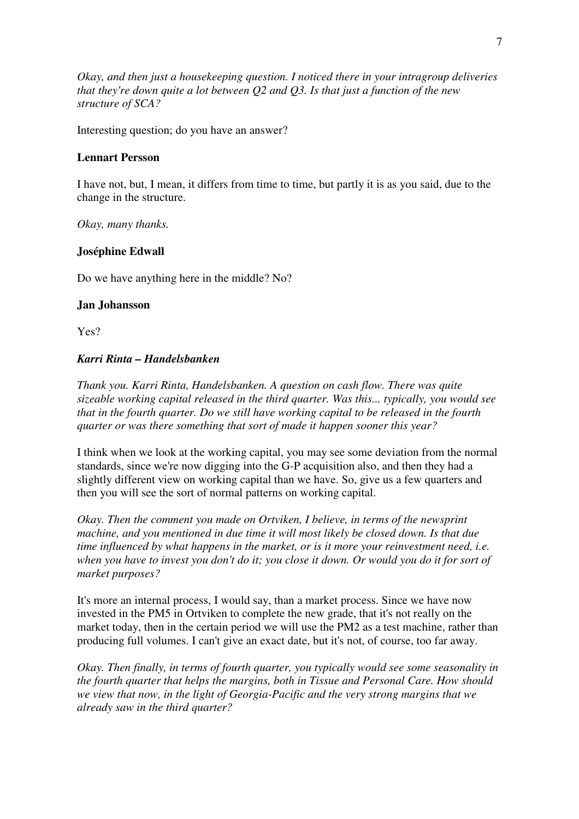*Okay, and then just a housekeeping question. I noticed there in your intragroup deliveries that they're down quite a lot between Q2 and Q3. Is that just a function of the new structure of SCA?*

Interesting question; do you have an answer?

### **Lennart Persson**

I have not, but, I mean, it differs from time to time, but partly it is as you said, due to the change in the structure.

*Okay, many thanks.* 

#### **Joséphine Edwall**

Do we have anything here in the middle? No?

#### **Jan Johansson**

Yes?

# *Karri Rinta – Handelsbanken*

*Thank you. Karri Rinta, Handelsbanken. A question on cash flow. There was quite sizeable working capital released in the third quarter. Was this... typically, you would see that in the fourth quarter. Do we still have working capital to be released in the fourth quarter or was there something that sort of made it happen sooner this year?* 

I think when we look at the working capital, you may see some deviation from the normal standards, since we're now digging into the G-P acquisition also, and then they had a slightly different view on working capital than we have. So, give us a few quarters and then you will see the sort of normal patterns on working capital.

*Okay. Then the comment you made on Ortviken, I believe, in terms of the newsprint machine, and you mentioned in due time it will most likely be closed down. Is that due time influenced by what happens in the market, or is it more your reinvestment need, i.e. when you have to invest you don't do it; you close it down. Or would you do it for sort of market purposes?* 

It's more an internal process, I would say, than a market process. Since we have now invested in the PM5 in Ortviken to complete the new grade, that it's not really on the market today, then in the certain period we will use the PM2 as a test machine, rather than producing full volumes. I can't give an exact date, but it's not, of course, too far away.

*Okay. Then finally, in terms of fourth quarter, you typically would see some seasonality in the fourth quarter that helps the margins, both in Tissue and Personal Care. How should we view that now, in the light of Georgia-Pacific and the very strong margins that we already saw in the third quarter?*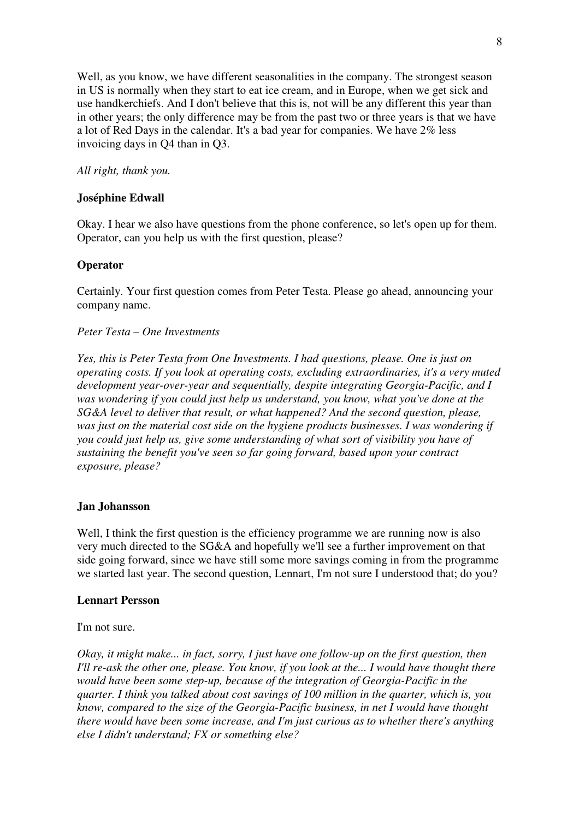Well, as you know, we have different seasonalities in the company. The strongest season in US is normally when they start to eat ice cream, and in Europe, when we get sick and use handkerchiefs. And I don't believe that this is, not will be any different this year than in other years; the only difference may be from the past two or three years is that we have a lot of Red Days in the calendar. It's a bad year for companies. We have 2% less invoicing days in Q4 than in Q3.

# *All right, thank you.*

# **Joséphine Edwall**

Okay. I hear we also have questions from the phone conference, so let's open up for them. Operator, can you help us with the first question, please?

# **Operator**

Certainly. Your first question comes from Peter Testa. Please go ahead, announcing your company name.

# *Peter Testa – One Investments*

*Yes, this is Peter Testa from One Investments. I had questions, please. One is just on operating costs. If you look at operating costs, excluding extraordinaries, it's a very muted development year-over-year and sequentially, despite integrating Georgia-Pacific, and I was wondering if you could just help us understand, you know, what you've done at the SG&A level to deliver that result, or what happened? And the second question, please, was just on the material cost side on the hygiene products businesses. I was wondering if you could just help us, give some understanding of what sort of visibility you have of sustaining the benefit you've seen so far going forward, based upon your contract exposure, please?* 

# **Jan Johansson**

Well, I think the first question is the efficiency programme we are running now is also very much directed to the SG&A and hopefully we'll see a further improvement on that side going forward, since we have still some more savings coming in from the programme we started last year. The second question, Lennart, I'm not sure I understood that; do you?

# **Lennart Persson**

I'm not sure.

*Okay, it might make... in fact, sorry, I just have one follow-up on the first question, then I'll re-ask the other one, please. You know, if you look at the... I would have thought there would have been some step-up, because of the integration of Georgia-Pacific in the quarter. I think you talked about cost savings of 100 million in the quarter, which is, you know, compared to the size of the Georgia-Pacific business, in net I would have thought there would have been some increase, and I'm just curious as to whether there's anything else I didn't understand; FX or something else?*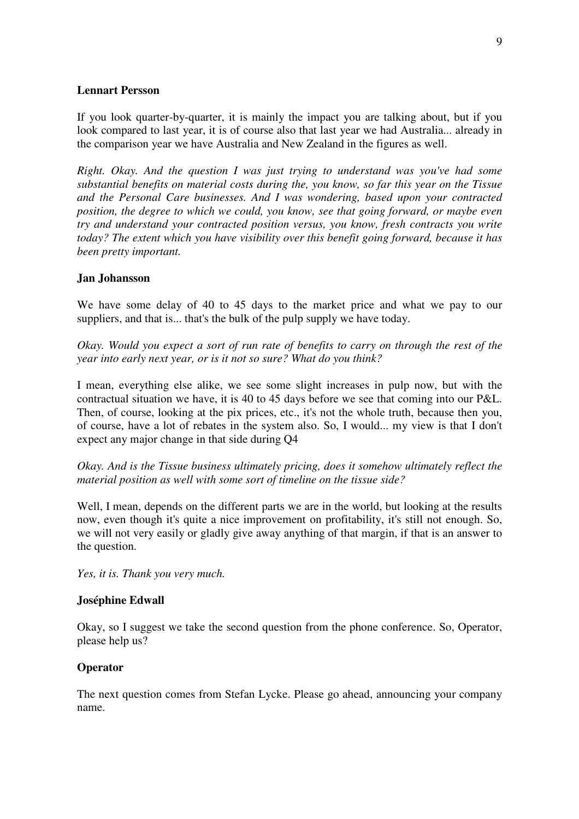#### **Lennart Persson**

If you look quarter-by-quarter, it is mainly the impact you are talking about, but if you look compared to last year, it is of course also that last year we had Australia... already in the comparison year we have Australia and New Zealand in the figures as well.

*Right. Okay. And the question I was just trying to understand was you've had some substantial benefits on material costs during the, you know, so far this year on the Tissue and the Personal Care businesses. And I was wondering, based upon your contracted position, the degree to which we could, you know, see that going forward, or maybe even try and understand your contracted position versus, you know, fresh contracts you write today? The extent which you have visibility over this benefit going forward, because it has been pretty important.* 

#### **Jan Johansson**

We have some delay of 40 to 45 days to the market price and what we pay to our suppliers, and that is... that's the bulk of the pulp supply we have today.

*Okay. Would you expect a sort of run rate of benefits to carry on through the rest of the year into early next year, or is it not so sure? What do you think?* 

I mean, everything else alike, we see some slight increases in pulp now, but with the contractual situation we have, it is 40 to 45 days before we see that coming into our P&L. Then, of course, looking at the pix prices, etc., it's not the whole truth, because then you, of course, have a lot of rebates in the system also. So, I would... my view is that I don't expect any major change in that side during Q4

*Okay. And is the Tissue business ultimately pricing, does it somehow ultimately reflect the material position as well with some sort of timeline on the tissue side?* 

Well, I mean, depends on the different parts we are in the world, but looking at the results now, even though it's quite a nice improvement on profitability, it's still not enough. So, we will not very easily or gladly give away anything of that margin, if that is an answer to the question.

*Yes, it is. Thank you very much.* 

#### **Joséphine Edwall**

Okay, so I suggest we take the second question from the phone conference. So, Operator, please help us?

# **Operator**

The next question comes from Stefan Lycke. Please go ahead, announcing your company name.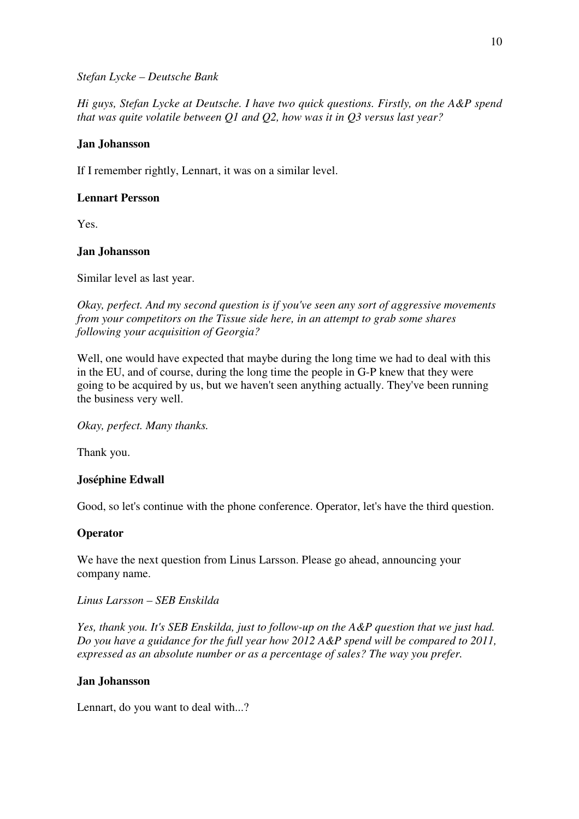### *Stefan Lycke – Deutsche Bank*

*Hi guys, Stefan Lycke at Deutsche. I have two quick questions. Firstly, on the A&P spend that was quite volatile between Q1 and Q2, how was it in Q3 versus last year?* 

### **Jan Johansson**

If I remember rightly, Lennart, it was on a similar level.

# **Lennart Persson**

Yes.

#### **Jan Johansson**

Similar level as last year.

*Okay, perfect. And my second question is if you've seen any sort of aggressive movements from your competitors on the Tissue side here, in an attempt to grab some shares following your acquisition of Georgia?* 

Well, one would have expected that maybe during the long time we had to deal with this in the EU, and of course, during the long time the people in G-P knew that they were going to be acquired by us, but we haven't seen anything actually. They've been running the business very well.

*Okay, perfect. Many thanks.* 

Thank you.

# **Joséphine Edwall**

Good, so let's continue with the phone conference. Operator, let's have the third question.

# **Operator**

We have the next question from Linus Larsson. Please go ahead, announcing your company name.

#### *Linus Larsson – SEB Enskilda*

*Yes, thank you. It's SEB Enskilda, just to follow-up on the A&P question that we just had. Do you have a guidance for the full year how 2012 A&P spend will be compared to 2011, expressed as an absolute number or as a percentage of sales? The way you prefer.* 

#### **Jan Johansson**

Lennart, do you want to deal with...?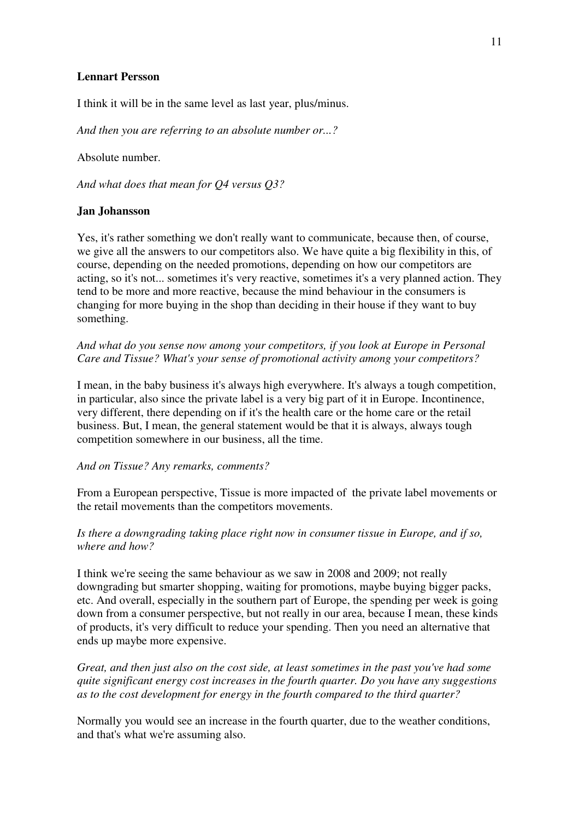# **Lennart Persson**

I think it will be in the same level as last year, plus/minus.

*And then you are referring to an absolute number or...?* 

Absolute number.

*And what does that mean for Q4 versus Q3?* 

# **Jan Johansson**

Yes, it's rather something we don't really want to communicate, because then, of course, we give all the answers to our competitors also. We have quite a big flexibility in this, of course, depending on the needed promotions, depending on how our competitors are acting, so it's not... sometimes it's very reactive, sometimes it's a very planned action. They tend to be more and more reactive, because the mind behaviour in the consumers is changing for more buying in the shop than deciding in their house if they want to buy something.

*And what do you sense now among your competitors, if you look at Europe in Personal Care and Tissue? What's your sense of promotional activity among your competitors?* 

I mean, in the baby business it's always high everywhere. It's always a tough competition, in particular, also since the private label is a very big part of it in Europe. Incontinence, very different, there depending on if it's the health care or the home care or the retail business. But, I mean, the general statement would be that it is always, always tough competition somewhere in our business, all the time.

*And on Tissue? Any remarks, comments?* 

From a European perspective, Tissue is more impacted of the private label movements or the retail movements than the competitors movements.

*Is there a downgrading taking place right now in consumer tissue in Europe, and if so, where and how?* 

I think we're seeing the same behaviour as we saw in 2008 and 2009; not really downgrading but smarter shopping, waiting for promotions, maybe buying bigger packs, etc. And overall, especially in the southern part of Europe, the spending per week is going down from a consumer perspective, but not really in our area, because I mean, these kinds of products, it's very difficult to reduce your spending. Then you need an alternative that ends up maybe more expensive.

*Great, and then just also on the cost side, at least sometimes in the past you've had some quite significant energy cost increases in the fourth quarter. Do you have any suggestions as to the cost development for energy in the fourth compared to the third quarter?* 

Normally you would see an increase in the fourth quarter, due to the weather conditions, and that's what we're assuming also.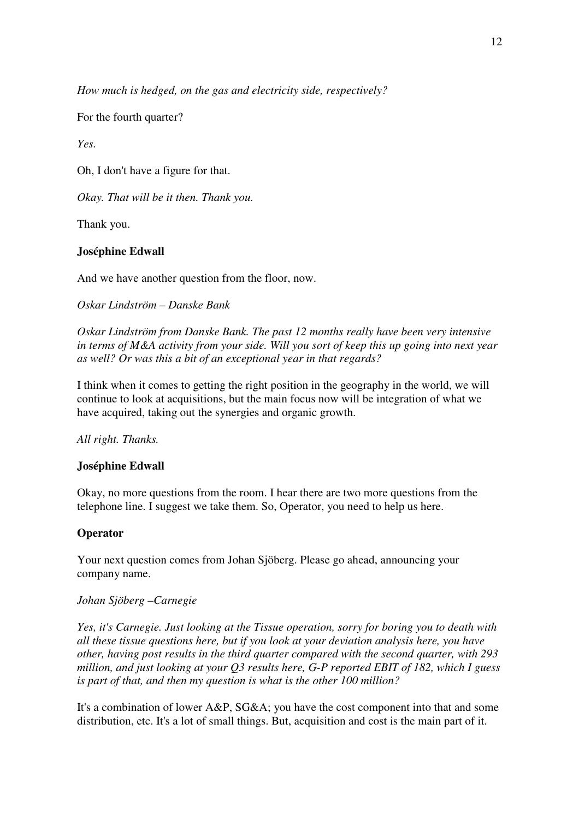*How much is hedged, on the gas and electricity side, respectively?* 

For the fourth quarter?

*Yes.* 

Oh, I don't have a figure for that.

*Okay. That will be it then. Thank you.* 

Thank you.

# **Joséphine Edwall**

And we have another question from the floor, now.

*Oskar Lindström – Danske Bank* 

*Oskar Lindström from Danske Bank. The past 12 months really have been very intensive in terms of M&A activity from your side. Will you sort of keep this up going into next year as well? Or was this a bit of an exceptional year in that regards?* 

I think when it comes to getting the right position in the geography in the world, we will continue to look at acquisitions, but the main focus now will be integration of what we have acquired, taking out the synergies and organic growth.

*All right. Thanks.* 

# **Joséphine Edwall**

Okay, no more questions from the room. I hear there are two more questions from the telephone line. I suggest we take them. So, Operator, you need to help us here.

# **Operator**

Your next question comes from Johan Sjöberg. Please go ahead, announcing your company name.

# *Johan Sjöberg –Carnegie*

*Yes, it's Carnegie. Just looking at the Tissue operation, sorry for boring you to death with all these tissue questions here, but if you look at your deviation analysis here, you have other, having post results in the third quarter compared with the second quarter, with 293 million, and just looking at your Q3 results here, G-P reported EBIT of 182, which I guess is part of that, and then my question is what is the other 100 million?* 

It's a combination of lower A&P, SG&A; you have the cost component into that and some distribution, etc. It's a lot of small things. But, acquisition and cost is the main part of it.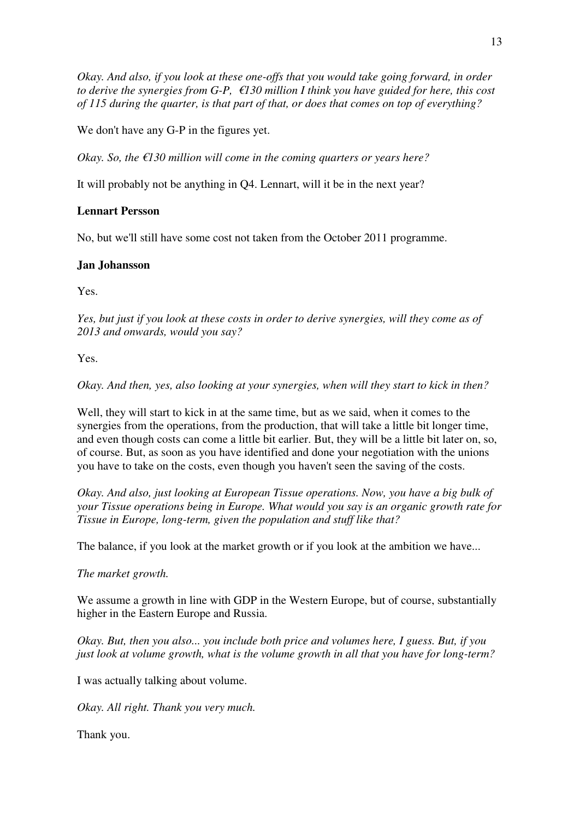*Okay. And also, if you look at these one-offs that you would take going forward, in order to derive the synergies from G-P, €130 million I think you have guided for here, this cost of 115 during the quarter, is that part of that, or does that comes on top of everything?* 

We don't have any G-P in the figures yet.

*Okay. So, the €130 million will come in the coming quarters or years here?* 

It will probably not be anything in Q4. Lennart, will it be in the next year?

# **Lennart Persson**

No, but we'll still have some cost not taken from the October 2011 programme.

# **Jan Johansson**

Yes.

*Yes, but just if you look at these costs in order to derive synergies, will they come as of 2013 and onwards, would you say?* 

Yes.

*Okay. And then, yes, also looking at your synergies, when will they start to kick in then?* 

Well, they will start to kick in at the same time, but as we said, when it comes to the synergies from the operations, from the production, that will take a little bit longer time, and even though costs can come a little bit earlier. But, they will be a little bit later on, so, of course. But, as soon as you have identified and done your negotiation with the unions you have to take on the costs, even though you haven't seen the saving of the costs.

*Okay. And also, just looking at European Tissue operations. Now, you have a big bulk of your Tissue operations being in Europe. What would you say is an organic growth rate for Tissue in Europe, long-term, given the population and stuff like that?* 

The balance, if you look at the market growth or if you look at the ambition we have...

*The market growth.* 

We assume a growth in line with GDP in the Western Europe, but of course, substantially higher in the Eastern Europe and Russia.

*Okay. But, then you also... you include both price and volumes here, I guess. But, if you just look at volume growth, what is the volume growth in all that you have for long-term?* 

I was actually talking about volume.

*Okay. All right. Thank you very much.* 

Thank you.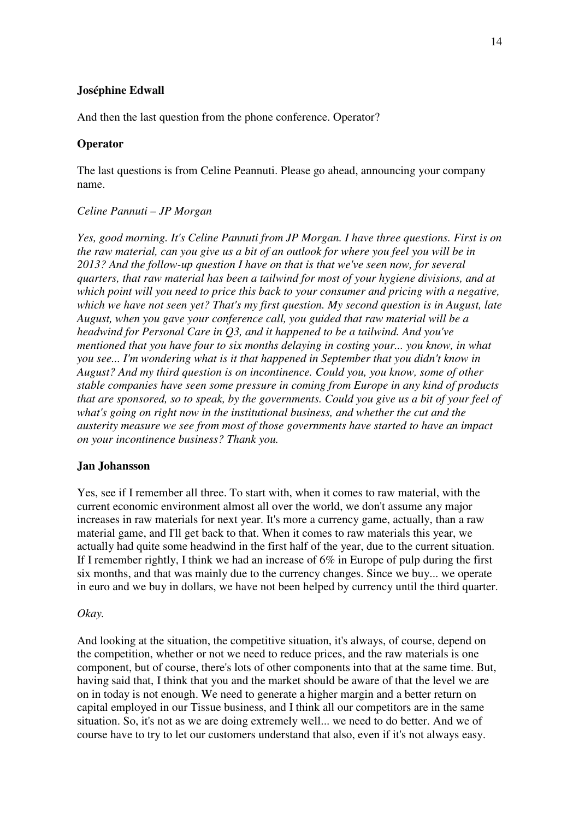# **Joséphine Edwall**

And then the last question from the phone conference. Operator?

# **Operator**

The last questions is from Celine Peannuti. Please go ahead, announcing your company name.

#### *Celine Pannuti – JP Morgan*

*Yes, good morning. It's Celine Pannuti from JP Morgan. I have three questions. First is on the raw material, can you give us a bit of an outlook for where you feel you will be in 2013? And the follow-up question I have on that is that we've seen now, for several quarters, that raw material has been a tailwind for most of your hygiene divisions, and at which point will you need to price this back to your consumer and pricing with a negative, which we have not seen yet? That's my first question. My second question is in August, late August, when you gave your conference call, you guided that raw material will be a headwind for Personal Care in Q3, and it happened to be a tailwind. And you've mentioned that you have four to six months delaying in costing your... you know, in what you see... I'm wondering what is it that happened in September that you didn't know in August? And my third question is on incontinence. Could you, you know, some of other stable companies have seen some pressure in coming from Europe in any kind of products that are sponsored, so to speak, by the governments. Could you give us a bit of your feel of what's going on right now in the institutional business, and whether the cut and the austerity measure we see from most of those governments have started to have an impact on your incontinence business? Thank you.* 

#### **Jan Johansson**

Yes, see if I remember all three. To start with, when it comes to raw material, with the current economic environment almost all over the world, we don't assume any major increases in raw materials for next year. It's more a currency game, actually, than a raw material game, and I'll get back to that. When it comes to raw materials this year, we actually had quite some headwind in the first half of the year, due to the current situation. If I remember rightly, I think we had an increase of 6% in Europe of pulp during the first six months, and that was mainly due to the currency changes. Since we buy... we operate in euro and we buy in dollars, we have not been helped by currency until the third quarter.

#### *Okay.*

And looking at the situation, the competitive situation, it's always, of course, depend on the competition, whether or not we need to reduce prices, and the raw materials is one component, but of course, there's lots of other components into that at the same time. But, having said that, I think that you and the market should be aware of that the level we are on in today is not enough. We need to generate a higher margin and a better return on capital employed in our Tissue business, and I think all our competitors are in the same situation. So, it's not as we are doing extremely well... we need to do better. And we of course have to try to let our customers understand that also, even if it's not always easy.